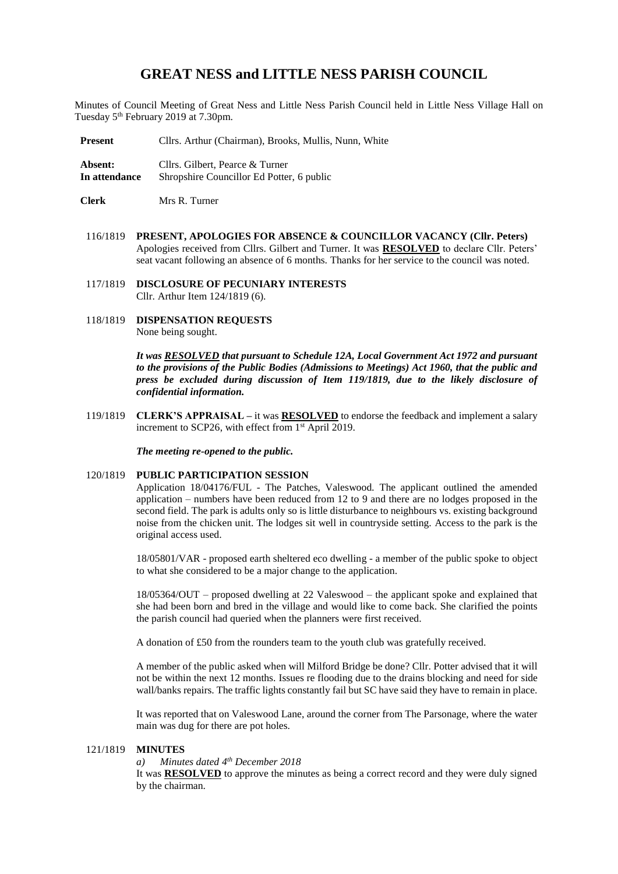# **GREAT NESS and LITTLE NESS PARISH COUNCIL**

Minutes of Council Meeting of Great Ness and Little Ness Parish Council held in Little Ness Village Hall on Tuesday 5<sup>th</sup> February 2019 at 7.30pm.

Present Cllrs. Arthur (Chairman), Brooks, Mullis, Nunn, White

**Absent:** Cllrs. Gilbert, Pearce & Turner<br>In attendance Shropshire Councillor Ed Potter **Shropshire Councillor Ed Potter, 6 public** 

**Clerk** Mrs R. Turner

116/1819 **PRESENT, APOLOGIES FOR ABSENCE & COUNCILLOR VACANCY (Cllr. Peters)** Apologies received from Cllrs. Gilbert and Turner. It was **RESOLVED** to declare Cllr. Peters' seat vacant following an absence of 6 months. Thanks for her service to the council was noted.

117/1819 **DISCLOSURE OF PECUNIARY INTERESTS** Cllr. Arthur Item 124/1819 (6).

118/1819 **DISPENSATION REQUESTS** None being sought.

> *It was RESOLVED that pursuant to Schedule 12A, Local Government Act 1972 and pursuant to the provisions of the Public Bodies (Admissions to Meetings) Act 1960, that the public and press be excluded during discussion of Item 119/1819, due to the likely disclosure of confidential information.*

119/1819 **CLERK'S APPRAISAL –** it was **RESOLVED** to endorse the feedback and implement a salary increment to SCP26, with effect from 1<sup>st</sup> April 2019.

*The meeting re-opened to the public.*

## 120/1819 **PUBLIC PARTICIPATION SESSION**

Application 18/04176/FUL - The Patches, Valeswood*.* The applicant outlined the amended application – numbers have been reduced from 12 to 9 and there are no lodges proposed in the second field. The park is adults only so is little disturbance to neighbours vs. existing background noise from the chicken unit. The lodges sit well in countryside setting. Access to the park is the original access used.

18/05801/VAR - proposed earth sheltered eco dwelling - a member of the public spoke to object to what she considered to be a major change to the application.

18/05364/OUT – proposed dwelling at 22 Valeswood – the applicant spoke and explained that she had been born and bred in the village and would like to come back. She clarified the points the parish council had queried when the planners were first received.

A donation of £50 from the rounders team to the youth club was gratefully received.

A member of the public asked when will Milford Bridge be done? Cllr. Potter advised that it will not be within the next 12 months. Issues re flooding due to the drains blocking and need for side wall/banks repairs. The traffic lights constantly fail but SC have said they have to remain in place.

It was reported that on Valeswood Lane, around the corner from The Parsonage, where the water main was dug for there are pot holes.

#### 121/1819 **MINUTES**

## *a) Minutes dated 4 th December 2018*

It was **RESOLVED** to approve the minutes as being a correct record and they were duly signed by the chairman.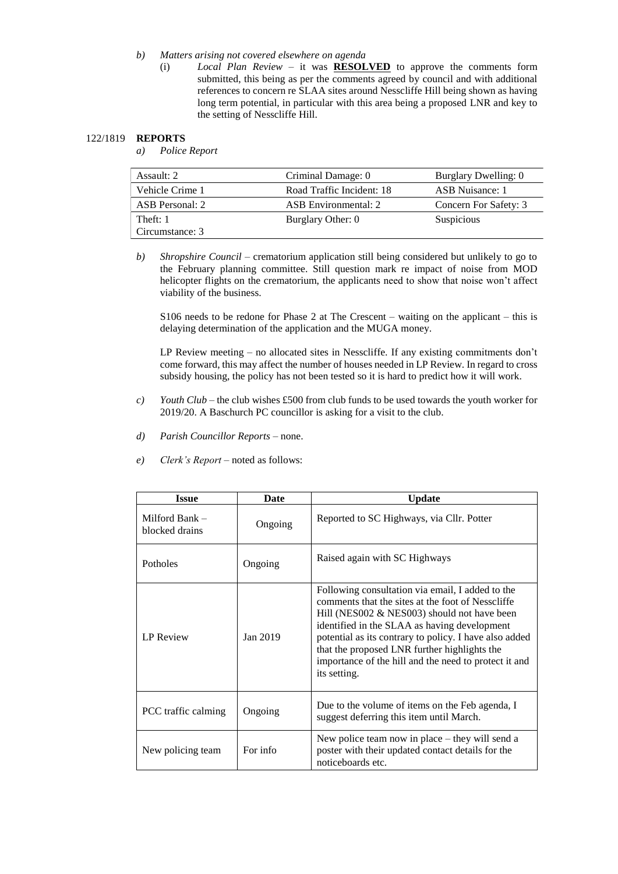- *b) Matters arising not covered elsewhere on agenda*
	- (i) *Local Plan Review* it was **RESOLVED** to approve the comments form submitted, this being as per the comments agreed by council and with additional references to concern re SLAA sites around Nesscliffe Hill being shown as having long term potential, in particular with this area being a proposed LNR and key to the setting of Nesscliffe Hill.

## 122/1819 **REPORTS**

*a) Police Report* 

| Assault: 2                  | Criminal Damage: 0        | Burglary Dwelling: 0  |
|-----------------------------|---------------------------|-----------------------|
| Vehicle Crime 1             | Road Traffic Incident: 18 | ASB Nuisance: 1       |
| ASB Personal: 2             | ASB Environmental: 2      | Concern For Safety: 3 |
| Theft: 1<br>Circumstance: 3 | Burglary Other: 0         | <b>Suspicious</b>     |

*b) Shropshire Council* – crematorium application still being considered but unlikely to go to the February planning committee. Still question mark re impact of noise from MOD helicopter flights on the crematorium, the applicants need to show that noise won't affect viability of the business.

S106 needs to be redone for Phase 2 at The Crescent – waiting on the applicant – this is delaying determination of the application and the MUGA money.

LP Review meeting – no allocated sites in Nesscliffe. If any existing commitments don't come forward, this may affect the number of houses needed in LP Review. In regard to cross subsidy housing, the policy has not been tested so it is hard to predict how it will work.

- *c) Youth Club* the club wishes £500 from club funds to be used towards the youth worker for 2019/20. A Baschurch PC councillor is asking for a visit to the club.
- *d) Parish Councillor Reports –* none.
- *e) Clerk's Report* noted as follows:

| <b>Issue</b>                       | Date     | <b>Update</b>                                                                                                                                                                                                                                                                                                                                                                             |
|------------------------------------|----------|-------------------------------------------------------------------------------------------------------------------------------------------------------------------------------------------------------------------------------------------------------------------------------------------------------------------------------------------------------------------------------------------|
| Milford Bank $-$<br>blocked drains | Ongoing  | Reported to SC Highways, via Cllr. Potter                                                                                                                                                                                                                                                                                                                                                 |
| Potholes                           | Ongoing  | Raised again with SC Highways                                                                                                                                                                                                                                                                                                                                                             |
| <b>LP</b> Review                   | Jan 2019 | Following consultation via email, I added to the<br>comments that the sites at the foot of Nesscliffe<br>Hill (NES002 $&$ NES003) should not have been<br>identified in the SLAA as having development<br>potential as its contrary to policy. I have also added<br>that the proposed LNR further highlights the<br>importance of the hill and the need to protect it and<br>its setting. |
| PCC traffic calming                | Ongoing  | Due to the volume of items on the Feb agenda, I<br>suggest deferring this item until March.                                                                                                                                                                                                                                                                                               |
| New policing team                  | For info | New police team now in place $-$ they will send a<br>poster with their updated contact details for the<br>noticeboards etc.                                                                                                                                                                                                                                                               |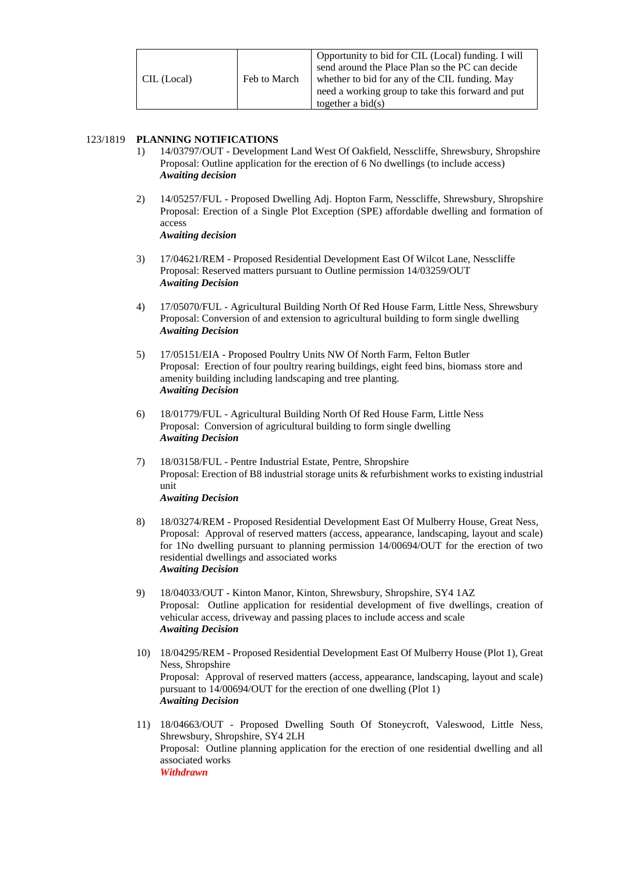| CIL (Local) | Feb to March | Opportunity to bid for CIL (Local) funding. I will<br>send around the Place Plan so the PC can decide<br>whether to bid for any of the CIL funding. May<br>need a working group to take this forward and put<br>together a bid $(s)$ |
|-------------|--------------|--------------------------------------------------------------------------------------------------------------------------------------------------------------------------------------------------------------------------------------|
|             |              |                                                                                                                                                                                                                                      |

# 123/1819 **PLANNING NOTIFICATIONS**

- 1) 14/03797/OUT Development Land West Of Oakfield, Nesscliffe, Shrewsbury, Shropshire Proposal: Outline application for the erection of 6 No dwellings (to include access) *Awaiting decision*
- 2) 14/05257/FUL Proposed Dwelling Adj. Hopton Farm, Nesscliffe, Shrewsbury, Shropshire Proposal: Erection of a Single Plot Exception (SPE) affordable dwelling and formation of access *Awaiting decision*
- 3) 17/04621/REM Proposed Residential Development East Of Wilcot Lane, Nesscliffe Proposal: Reserved matters pursuant to Outline permission 14/03259/OUT *Awaiting Decision*
- 4) 17/05070/FUL Agricultural Building North Of Red House Farm, Little Ness, Shrewsbury Proposal: Conversion of and extension to agricultural building to form single dwelling *Awaiting Decision*
- 5) 17/05151/EIA Proposed Poultry Units NW Of North Farm, Felton Butler Proposal: Erection of four poultry rearing buildings, eight feed bins, biomass store and amenity building including landscaping and tree planting. *Awaiting Decision*
- 6) 18/01779/FUL Agricultural Building North Of Red House Farm, Little Ness Proposal: Conversion of agricultural building to form single dwelling *Awaiting Decision*
- 7) 18/03158/FUL Pentre Industrial Estate, Pentre, Shropshire Proposal: Erection of B8 industrial storage units & refurbishment works to existing industrial unit *Awaiting Decision*
- 8) 18/03274/REM Proposed Residential Development East Of Mulberry House, Great Ness, Proposal: Approval of reserved matters (access, appearance, landscaping, layout and scale) for 1No dwelling pursuant to planning permission 14/00694/OUT for the erection of two residential dwellings and associated works *Awaiting Decision*
- 9) 18/04033/OUT Kinton Manor, Kinton, Shrewsbury, Shropshire, SY4 1AZ Proposal: Outline application for residential development of five dwellings, creation of vehicular access, driveway and passing places to include access and scale *Awaiting Decision*
- 10) 18/04295/REM Proposed Residential Development East Of Mulberry House (Plot 1), Great Ness, Shropshire Proposal: Approval of reserved matters (access, appearance, landscaping, layout and scale) pursuant to 14/00694/OUT for the erection of one dwelling (Plot 1) *Awaiting Decision*
- 11) 18/04663/OUT Proposed Dwelling South Of Stoneycroft, Valeswood, Little Ness, Shrewsbury, Shropshire, SY4 2LH Proposal: Outline planning application for the erection of one residential dwelling and all associated works *Withdrawn*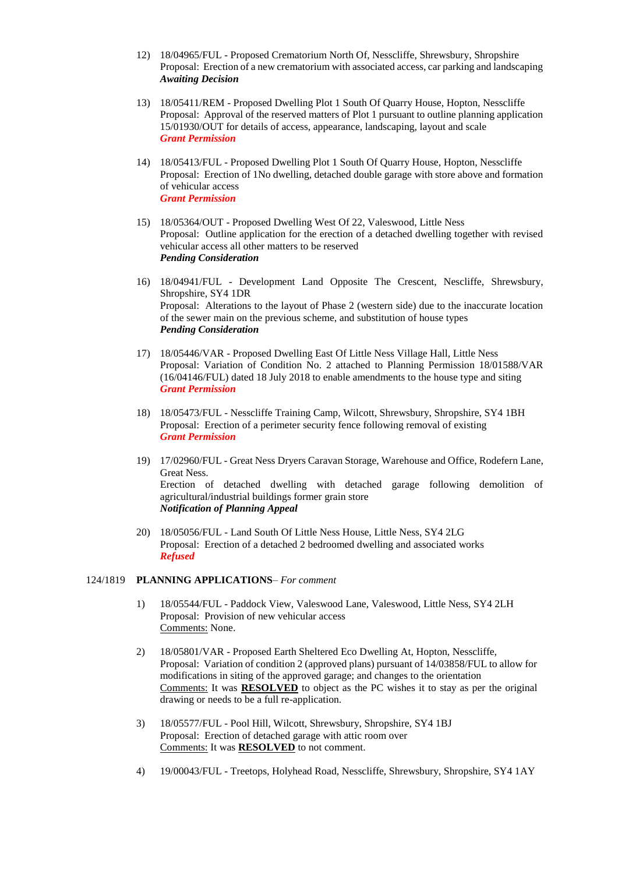- 12) 18/04965/FUL Proposed Crematorium North Of, Nesscliffe, Shrewsbury, Shropshire Proposal: Erection of a new crematorium with associated access, car parking and landscaping *Awaiting Decision*
- 13) 18/05411/REM Proposed Dwelling Plot 1 South Of Quarry House, Hopton, Nesscliffe Proposal: Approval of the reserved matters of Plot 1 pursuant to outline planning application 15/01930/OUT for details of access, appearance, landscaping, layout and scale *Grant Permission*
- 14) 18/05413/FUL Proposed Dwelling Plot 1 South Of Quarry House, Hopton, Nesscliffe Proposal: Erection of 1No dwelling, detached double garage with store above and formation of vehicular access *Grant Permission*
- 15) 18/05364/OUT Proposed Dwelling West Of 22, Valeswood, Little Ness Proposal: Outline application for the erection of a detached dwelling together with revised vehicular access all other matters to be reserved *Pending Consideration*
- 16) 18/04941/FUL Development Land Opposite The Crescent, Nescliffe, Shrewsbury, Shropshire, SY4 1DR Proposal: Alterations to the layout of Phase 2 (western side) due to the inaccurate location of the sewer main on the previous scheme, and substitution of house types *Pending Consideration*
- 17) 18/05446/VAR Proposed Dwelling East Of Little Ness Village Hall, Little Ness Proposal: Variation of Condition No. 2 attached to Planning Permission 18/01588/VAR (16/04146/FUL) dated 18 July 2018 to enable amendments to the house type and siting *Grant Permission*
- 18) 18/05473/FUL Nesscliffe Training Camp, Wilcott, Shrewsbury, Shropshire, SY4 1BH Proposal: Erection of a perimeter security fence following removal of existing *Grant Permission*
- 19) 17/02960/FUL Great Ness Dryers Caravan Storage, Warehouse and Office, Rodefern Lane, Great Ness. Erection of detached dwelling with detached garage following demolition of agricultural/industrial buildings former grain store *Notification of Planning Appeal*
- 20) 18/05056/FUL Land South Of Little Ness House, Little Ness, SY4 2LG Proposal: Erection of a detached 2 bedroomed dwelling and associated works *Refused*

## 124/1819 **PLANNING APPLICATIONS**– *For comment*

- 1) 18/05544/FUL Paddock View, Valeswood Lane, Valeswood, Little Ness, SY4 2LH Proposal: Provision of new vehicular access Comments: None.
- 2) 18/05801/VAR Proposed Earth Sheltered Eco Dwelling At, Hopton, Nesscliffe, Proposal: Variation of condition 2 (approved plans) pursuant of 14/03858/FUL to allow for modifications in siting of the approved garage; and changes to the orientation Comments: It was **RESOLVED** to object as the PC wishes it to stay as per the original drawing or needs to be a full re-application.
- 3) 18/05577/FUL Pool Hill, Wilcott, Shrewsbury, Shropshire, SY4 1BJ Proposal: Erection of detached garage with attic room over Comments: It was **RESOLVED** to not comment.
- 4) 19/00043/FUL Treetops, Holyhead Road, Nesscliffe, Shrewsbury, Shropshire, SY4 1AY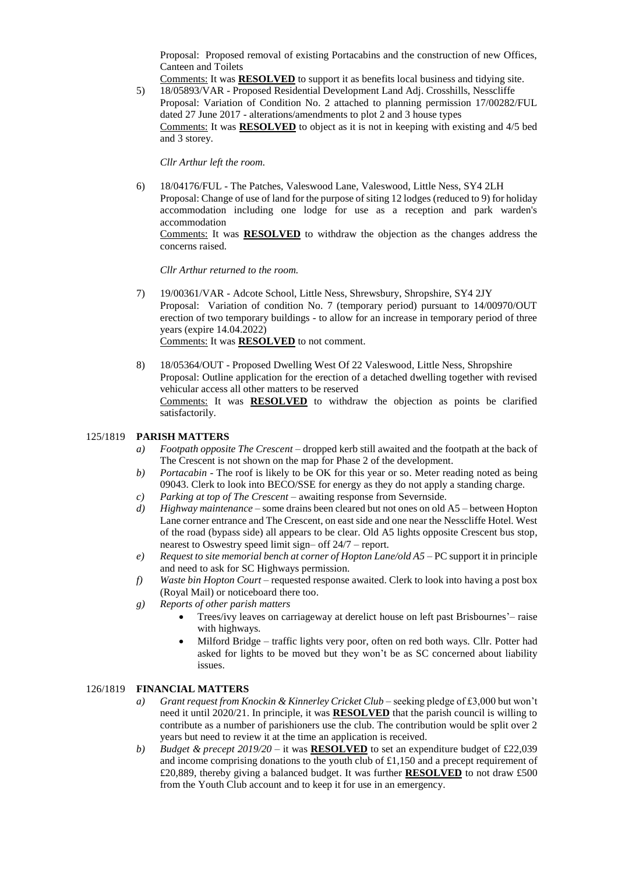Proposal: Proposed removal of existing Portacabins and the construction of new Offices, Canteen and Toilets

Comments: It was **RESOLVED** to support it as benefits local business and tidying site.

5) 18/05893/VAR - Proposed Residential Development Land Adj. Crosshills, Nesscliffe Proposal: Variation of Condition No. 2 attached to planning permission 17/00282/FUL dated 27 June 2017 - alterations/amendments to plot 2 and 3 house types Comments: It was **RESOLVED** to object as it is not in keeping with existing and 4/5 bed and 3 storey.

*Cllr Arthur left the room.*

6) 18/04176/FUL - The Patches, Valeswood Lane, Valeswood, Little Ness, SY4 2LH Proposal: Change of use of land for the purpose of siting 12 lodges (reduced to 9) for holiday accommodation including one lodge for use as a reception and park warden's accommodation Comments: It was **RESOLVED** to withdraw the objection as the changes address the concerns raised.

*Cllr Arthur returned to the room.*

- 7) 19/00361/VAR Adcote School, Little Ness, Shrewsbury, Shropshire, SY4 2JY Proposal: Variation of condition No. 7 (temporary period) pursuant to 14/00970/OUT erection of two temporary buildings - to allow for an increase in temporary period of three years (expire 14.04.2022) Comments: It was **RESOLVED** to not comment.
- 8) 18/05364/OUT Proposed Dwelling West Of 22 Valeswood, Little Ness, Shropshire Proposal: Outline application for the erection of a detached dwelling together with revised vehicular access all other matters to be reserved Comments: It was **RESOLVED** to withdraw the objection as points be clarified satisfactorily.

## 125/1819 **PARISH MATTERS**

- *a) Footpath opposite The Crescent* dropped kerb still awaited and the footpath at the back of The Crescent is not shown on the map for Phase 2 of the development.
- *b) Portacabin* The roof is likely to be OK for this year or so. Meter reading noted as being 09043. Clerk to look into BECO/SSE for energy as they do not apply a standing charge.
- *c) Parking at top of The Crescent* awaiting response from Severnside.
- *d) Highway maintenance* some drains been cleared but not ones on old A5 between Hopton Lane corner entrance and The Crescent, on east side and one near the Nesscliffe Hotel. West of the road (bypass side) all appears to be clear. Old A5 lights opposite Crescent bus stop, nearest to Oswestry speed limit sign– off 24/7 – report.
- *e) Request to site memorial bench at corner of Hopton Lane/old A5* PC support it in principle and need to ask for SC Highways permission.
- *f) Waste bin Hopton Court* requested response awaited. Clerk to look into having a post box (Royal Mail) or noticeboard there too.
- *g) Reports of other parish matters*
	- Trees/ivy leaves on carriageway at derelict house on left past Brisbournes'– raise with highways.
	- Milford Bridge traffic lights very poor, often on red both ways. Cllr. Potter had asked for lights to be moved but they won't be as SC concerned about liability issues.

## 126/1819 **FINANCIAL MATTERS**

- *a*) *Grant request from Knockin & Kinnerley Cricket Club* seeking pledge of £3,000 but won't need it until 2020/21. In principle, it was **RESOLVED** that the parish council is willing to contribute as a number of parishioners use the club. The contribution would be split over 2 years but need to review it at the time an application is received.
- *b) Budget & precept 2019/20 –* it was **RESOLVED** to set an expenditure budget of £22,039 and income comprising donations to the youth club of £1,150 and a precept requirement of £20,889, thereby giving a balanced budget. It was further **RESOLVED** to not draw £500 from the Youth Club account and to keep it for use in an emergency.